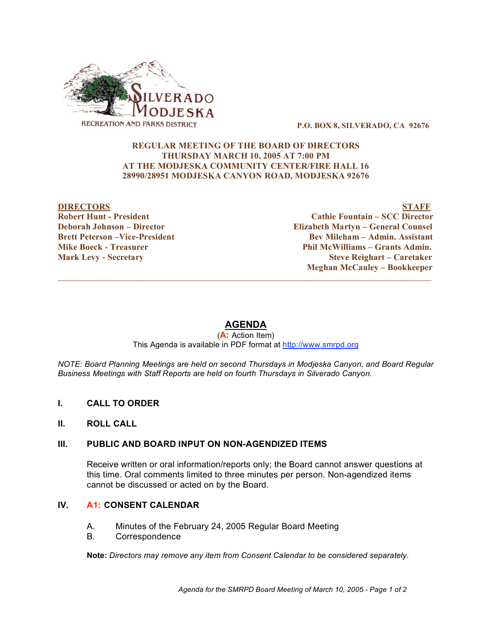

**P.O. BOX 8, SILVERADO, CA 92676**

#### **REGULAR MEETING OF THE BOARD OF DIRECTORS THURSDAY MARCH 10, 2005 AT 7:00 PM AT THE MODJESKA COMMUNITY CENTER/FIRE HALL 16 28990/28951 MODJESKA CANYON ROAD, MODJESKA 92676**

**DIRECTORS STAFF Robert Hunt - President Cathie Fountain – SCC Director Deborah Johnson – Director Elizabeth Martyn – General Counsel Brett Peterson –Vice-President Bev Mileham – Admin. Assistant Mike Boeck - Treasurer Example 2018 Phil McWilliams – Grants Admin. Mark Levy - Secretary Steve Reighart – Caretaker Meghan McCauley – Bookkeeper**

# **AGENDA**

 $\overline{\phantom{a}}$  ,  $\overline{\phantom{a}}$  ,  $\overline{\phantom{a}}$  ,  $\overline{\phantom{a}}$  ,  $\overline{\phantom{a}}$  ,  $\overline{\phantom{a}}$  ,  $\overline{\phantom{a}}$  ,  $\overline{\phantom{a}}$  ,  $\overline{\phantom{a}}$  ,  $\overline{\phantom{a}}$  ,  $\overline{\phantom{a}}$  ,  $\overline{\phantom{a}}$  ,  $\overline{\phantom{a}}$  ,  $\overline{\phantom{a}}$  ,  $\overline{\phantom{a}}$  ,  $\overline{\phantom{a}}$ 

(**A:** Action Item) This Agenda is available in PDF format at http://www.smrpd.org

*NOTE: Board Planning Meetings are held on second Thursdays in Modjeska Canyon, and Board Regular Business Meetings with Staff Reports are held on fourth Thursdays in Silverado Canyon.*

- **I. CALL TO ORDER**
- **II. ROLL CALL**

### **III. PUBLIC AND BOARD INPUT ON NON-AGENDIZED ITEMS**

Receive written or oral information/reports only; the Board cannot answer questions at this time. Oral comments limited to three minutes per person. Non-agendized items cannot be discussed or acted on by the Board.

#### **IV. A1: CONSENT CALENDAR**

- A. Minutes of the February 24, 2005 Regular Board Meeting
- B. Correspondence

**Note:** *Directors may remove any item from Consent Calendar to be considered separately.*